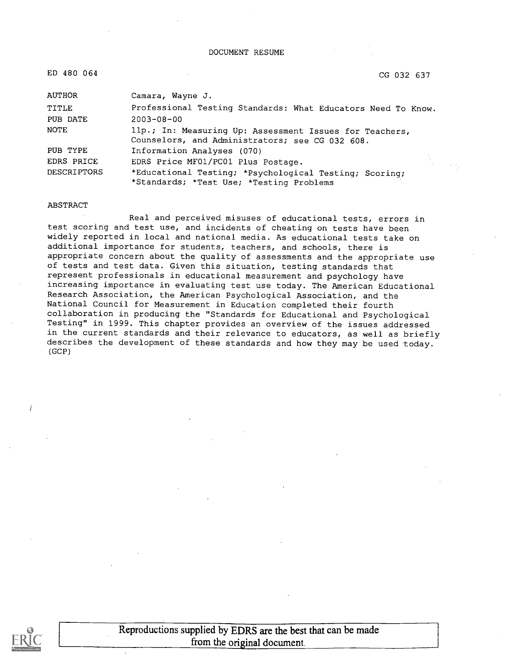#### DOCUMENT RESUME

| ED 480 064         | CG 032 637                                                                                                 |
|--------------------|------------------------------------------------------------------------------------------------------------|
| AUTHOR             | Camara, Wayne J.                                                                                           |
| TITLE              | Professional Testing Standards: What Educators Need To Know.                                               |
| PUB DATE           | $2003 - 08 - 00$                                                                                           |
| NOTE               | 11p.; In: Measuring Up: Assessment Issues for Teachers,<br>Counselors, and Administrators; see CG 032 608. |
| PUB TYPE           | Information Analyses (070)                                                                                 |
| EDRS PRICE         | EDRS Price MF01/PC01 Plus Postage.                                                                         |
| <b>DESCRIPTORS</b> | *Educational Testing; *Psychological Testing; Scoring;<br>*Standards; *Test Use; *Testing Problems         |

#### ABSTRACT

Real and perceived misuses of educational tests, errors in test scoring and test use, and incidents of cheating on tests have been widely reported in local and national media. As educational tests take on additional importance for students, teachers, and schools, there is appropriate concern about the quality of assessments and the appropriate use of tests and test data. Given this situation, testing standards that represent professionals in educational measurement and psychology have increasing importance in evaluating test use today. The American Educational Research Association, the American Psychological Association, and the National Council for Measurement in Education completed their fourth collaboration in producing the "Standards for Educational and Psychological Testing" in 1999. This chapter provides an overview of the issues addressed in the current standards and their relevance to educators, as well as briefly describes the development of these standards and how they may be used today. (GCP)

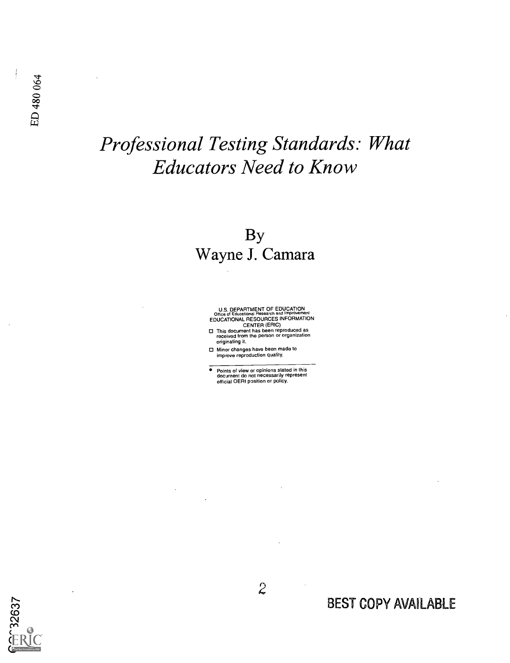## Professional Testing Standards: What Educators Need to Know

### By Wayne J. Camara

U.S. DEPARTMENT OF EDUCATION Office of Educational Research and Improvement EDUCATIONAL RESOURCES INFORMATION

CENTER (ERIC) O This document has been reproduced as received from the person or organization originating. it.

O Minor changes have been made to improve reproduction quality.

Points of view or opinions stated in this document do not necessarily represent official OERI position or policy.



BEST COPY AVAILABLE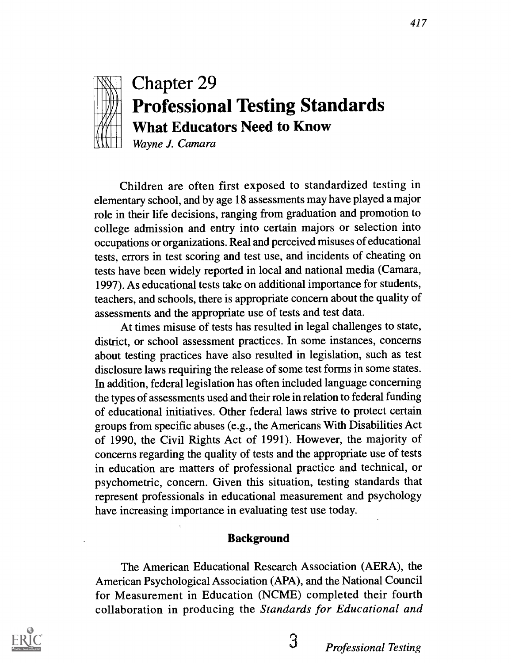

## **Chapter 29** Professional Testing Standards What Educators Need to Know

Wayne J. Camara

Children are often first exposed to standardized testing in elementary school, and by age 18 assessments may have played a major role in their life decisions, ranging from graduation and promotion to college admission and entry into certain majors or selection into occupations or organizations. Real and perceived misuses of educational tests, errors in test scoring and test use, and incidents of cheating on tests have been widely reported in local and national media (Camara, 1997). As educational tests take on additional importance for students, teachers, and schools, there is appropriate concern about the quality of assessments and the appropriate use of tests and test data.

At times misuse of tests has resulted in legal challenges to state, district, or school assessment practices. In some instances, concerns about testing practices have also resulted in legislation, such as test disclosure laws requiring the release of some test forms in some states. In addition, federal legislation has often included language concerning the types of assessments used and their role in relation to federal funding of educational initiatives. Other federal laws strive to protect certain groups from specific abuses (e.g., the Americans With Disabilities Act of 1990, the Civil Rights Act of 1991). However, the majority of concerns regarding the quality of tests and the appropriate use of tests in education are matters of professional practice and technical, or psychometric, concern. Given this situation, testing standards that represent professionals in educational measurement and psychology have increasing importance in evaluating test use today.

### **Background**

The American Educational Research Association (AERA), the American Psychological Association (APA), and the National Council for Measurement in Education (NCME) completed their fourth collaboration in producing the Standards for Educational and

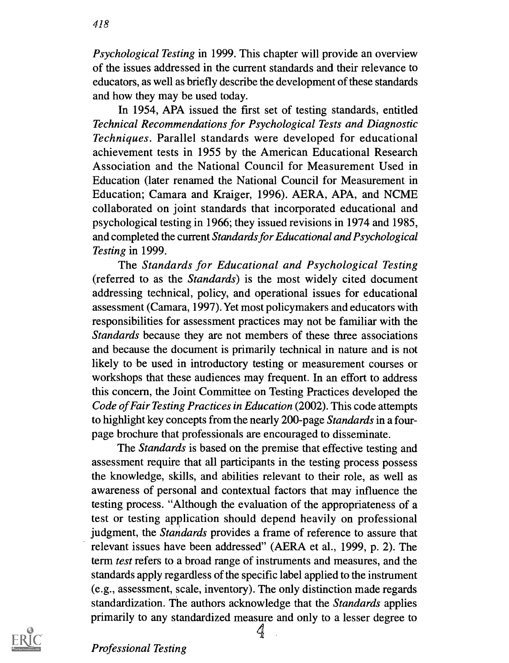418

Psychological Testing in 1999. This chapter will provide an overview of the issues addressed in the current standards and their relevance to educators, as well as briefly describe the development of these standards and how they may be used today.

In 1954, APA issued the first set of testing standards, entitled Technical Recommendations for Psychological Tests and Diagnostic Techniques. Parallel standards were developed for educational achievement tests in 1955 by the American Educational Research Association and the National Council for Measurement Used in Education (later renamed the National Council for Measurement in Education; Camara and Kraiger, 1996). AERA, APA, and NCME collaborated on joint standards that incorporated educational and psychological testing in 1966; they issued revisions in 1974 and 1985, and completed the current Standards for Educational and Psychological Testing in 1999.

The Standards for Educational and Psychological Testing (referred to as the Standards) is the most widely cited document addressing technical, policy, and operational issues for educational assessment (Camara, 1997). Yet most policymakers and educators with responsibilities for assessment practices may not be familiar with the Standards because they are not members of these three associations and because the document is primarily technical in nature and is not likely to be used in introductory testing or measurement courses or workshops that these audiences may frequent. In an effort to address this concern, the Joint Committee on Testing Practices developed the Code of Fair Testing Practices in Education (2002). This code attempts to highlight key concepts from the nearly 200-page Standards in a fourpage brochure that professionals are encouraged to disseminate.

The *Standards* is based on the premise that effective testing and assessment require that all participants in the testing process possess the knowledge, skills, and abilities relevant to their role, as well as awareness of personal and contextual factors that may influence the testing process. "Although the evaluation of the appropriateness of a test or testing application should depend heavily on professional judgment, the *Standards* provides a frame of reference to assure that relevant issues have been addressed" (AERA et al., 1999, p. 2). The term test refers to a broad range of instruments and measures, and the standards apply regardless of the specific label applied to the instrument (e.g., assessment, scale, inventory). The only distinction made regards standardization. The authors acknowledge that the Standards applies primarily to any standardized measure and only to a lesser degree to

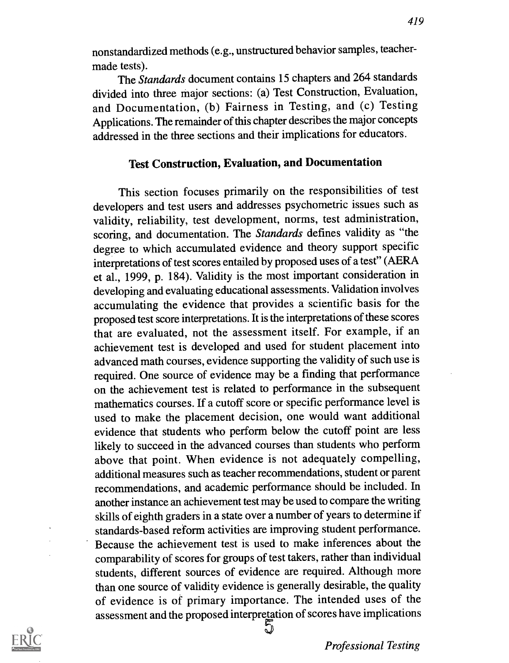nonstandardized methods (e.g., unstructured behavior samples, teachermade tests).

The Standards document contains 15 chapters and 264 standards divided into three major sections: (a) Test Construction, Evaluation, and Documentation, (b) Fairness in Testing, and (c) Testing Applications. The remainder of this chapter describes the major concepts addressed in the three sections and their implications for educators.

### Test Construction, Evaluation, and Documentation

This section focuses primarily on the responsibilities of test developers and test users and addresses psychometric issues such as validity, reliability, test development, norms, test administration, scoring, and documentation. The Standards defines validity as "the degree to which accumulated evidence and theory support specific interpretations of test scores entailed by proposed uses of a test" (AERA et al., 1999, p. 184). Validity is the most important consideration in developing and evaluating educational assessments. Validation involves accumulating the evidence that provides a scientific basis for the proposed test score interpretations. It is the interpretations of these scores that are evaluated, not the assessment itself. For example, if an achievement test is developed and used for student placement into advanced math courses, evidence supporting the validity of such use is required. One source of evidence may be a finding that performance on the achievement test is related to performance in the subsequent mathematics courses. If a cutoff score or specific performance level is used to make the placement decision, one would want additional evidence that students who perform below the cutoff point are less likely to succeed in the advanced courses than students who perform above that point. When evidence is not adequately compelling, additional measures such as teacher recommendations, student or parent recommendations, and academic performance should be included. In another instance an achievement test may be used to compare the writing skills of eighth graders in a state over a number of years to determine if standards-based reform activities are improving student performance. Because the achievement test is used to make inferences about the comparability of scores for groups of test takers, rather than individual students, different sources of evidence are required. Although more than one source of validity evidence is generally desirable, the quality of evidence is of primary importance. The intended uses of the assessment and the proposed interpretation of scores have implications

ᢒ

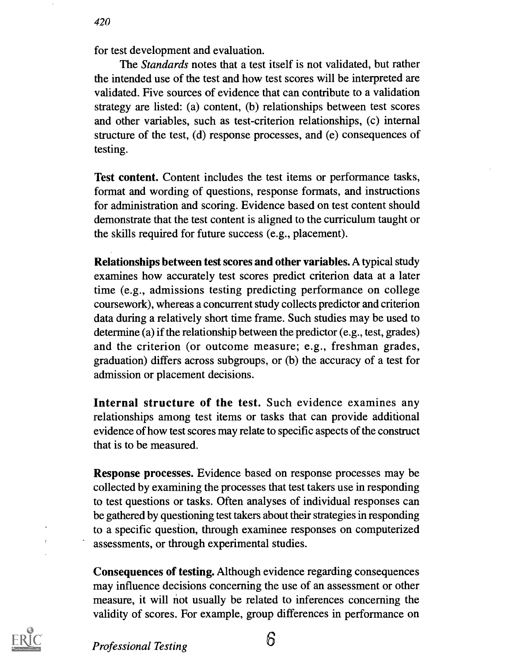for test development and evaluation.

The *Standards* notes that a test itself is not validated, but rather the intended use of the test and how test scores will be interpreted are validated. Five sources of evidence that can contribute to a validation strategy are listed: (a) content, (b) relationships between test scores and other variables, such as test-criterion relationships, (c) internal structure of the test, (d) response processes, and (e) consequences of testing.

Test content. Content includes the test items or performance tasks, format and wording of questions, response formats, and instructions for administration and scoring. Evidence based on test content should demonstrate that the test content is aligned to the curriculum taught or the skills required for future success (e.g., placement).

Relationships between test scores and other variables. A typical study examines how accurately test scores predict criterion data at a later time (e.g., admissions testing predicting performance on college coursework), whereas a concurrent study collects predictor and criterion data during a relatively short time frame. Such studies may be used to determine (a) if the relationship between the predictor (e.g., test, grades) and the criterion (or outcome measure; e.g., freshman grades, graduation) differs across subgroups, or (b) the accuracy of a test for admission or placement decisions.

Internal structure of the test. Such evidence examines any relationships among test items or tasks that can provide additional evidence of how test scores may relate to specific aspects of the construct that is to be measured.

Response processes. Evidence based on response processes may be collected by examining the processes that test takers use in responding to test questions or tasks. Often analyses of individual responses can be gathered by questioning test takers about their strategies in responding to a specific quesfion, through examinee responses on computerized assessments, or through experimental studies.

Consequences of testing. Although evidence regarding consequences may influence decisions concerning the use of an assessment or other measure, it will not usually be related to inferences concerning the validity of scores. For example, group differences in performance on



Professional Testing

420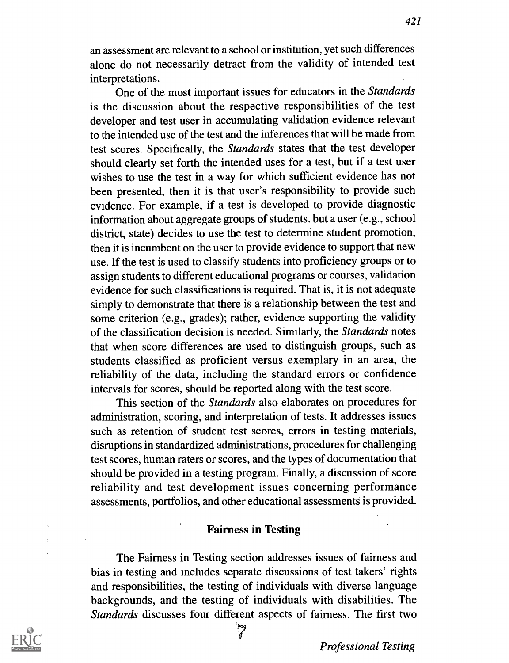an assessment are relevant to a school or institution, yet such differences alone do not necessarily detract from the validity of intended test interpretations.

One of the most important issues for educators in the Standards is the discussion about the respective responsibilities of the test developer and test user in accumulating validation evidence relevant to the intended use of the test and the inferences that will be made from test scores. Specifically, the Standards states that the test developer should clearly set forth the intended uses for a test, but if a test user wishes to use the test in a way for which sufficient evidence has not been presented, then it is that user's responsibility to provide such evidence. For example, if a test is developed to provide diagnostic information about aggregate groups of students. but a user (e.g., school district, state) decides to use the test to determine student promotion, then it is incumbent on the user to provide evidence to support that new use. If the test is used to classify students into proficiency groups or to assign students to different educational programs or courses, validation evidence for such classifications is required. That is, it is not adequate simply to demonstrate that there is a relationship between the test and some criterion (e.g., grades); rather, evidence supporting the validity of the classification decision is needed. Similarly, the Standards notes that when score differences are used to distinguish groups, such as students classified as proficient versus exemplary in an area, the reliability of the data, including the standard errors or confidence intervals for scores, should be reported along with the test score.

This section of the *Standards* also elaborates on procedures for administration, scoring, and interpretation of tests. It addresses issues such as retention of student test scores, errors in testing materials, disruptions in standardized administrations, procedures for challenging test scores, human raters or scores, and the types of documentation that should be provided in a testing program. Finally, a discussion of score reliability and test development issues concerning performance assessments, portfolios, and other educational assessments is provided.

#### Fairness in Testing

The Fairness in Testing section addresses issues of fairness and bias in testing and includes separate discussions of test takers' rights and responsibilities, the testing of individuals with diverse language backgrounds, and the testing of individuals with disabilities. The Standards discusses four different aspects of fairness. The first two



.f")I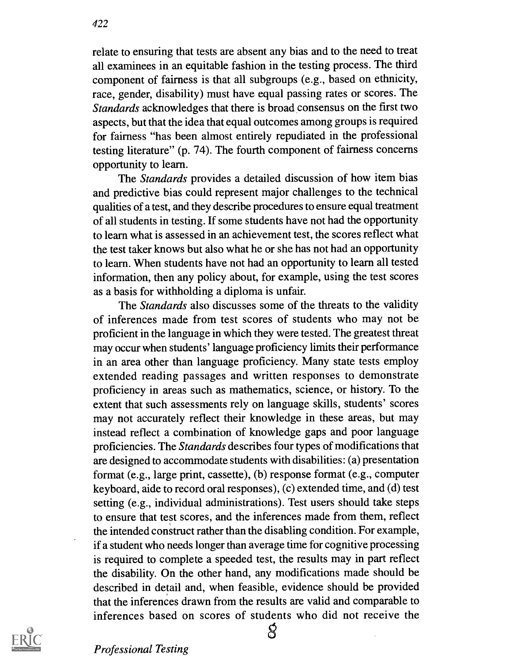relate to ensuring that tests are absent any bias and to the need to treat all examinees in an equitable fashion in the testing process. The third component of fairness is that all subgroups (e.g., based on ethnicity, race, gender, disability) must have equal passing rates or scores. The Standards acknowledges that there is broad consensus on the first two aspects, but that the idea that equal outcomes among groups is required for fairness "has been almost entirely repudiated in the professional testing literature" (p. 74). The fourth component of fairness concerns opportunity to learn.

The Standards provides a detailed discussion of how item bias and predictive bias could represent major challenges to the technical qualities of a test, and they describe procedures to ensure equal treatment of all students in testing. If some students have not had the opportunity to learn what is assessed in an achievement test, the scores reflect what the test taker knows but also what he or she has not had an opportunity to learn. When students have not had an opportunity to learn all tested information, then any policy about, for example, using the test scores as a basis for withholding a diploma is unfair.

The *Standards* also discusses some of the threats to the validity of inferences made from test scores of students who may not be proficient in the language in which they were tested. The greatest threat may occur when students' language proficiency limits their performance in an area other than language proficiency. Many state tests employ extended reading passages and written responses to demonstrate proficiency in areas such as mathematics, science, or history. To the extent that such assessments rely on language skills, students' scores may not accurately reflect their knowledge in these areas, but may instead reflect a combination of knowledge gaps and poor language proficiencies. The Standards describes four types of modifications that are designed to accommodate students with disabilities: (a) presentation format (e.g., large print, cassette), (b) response format (e.g., computer keyboard, aide to record oral responses), (c) extended time, and (d) test setting (e.g., individual administrations). Test users should take steps to ensure that test scores, and the inferences made from them, reflect the intended construct rather than the disabling condition. For example, if a student who needs longer than average time for cognitive processing is required to complete a speeded test, the results may in part reflect the disability. On the other hand, any modifications made should be described in detail and, when feasible, evidence should be provided that the inferences drawn from the results are valid and comparable to inferences based on scores of students who did not receive the

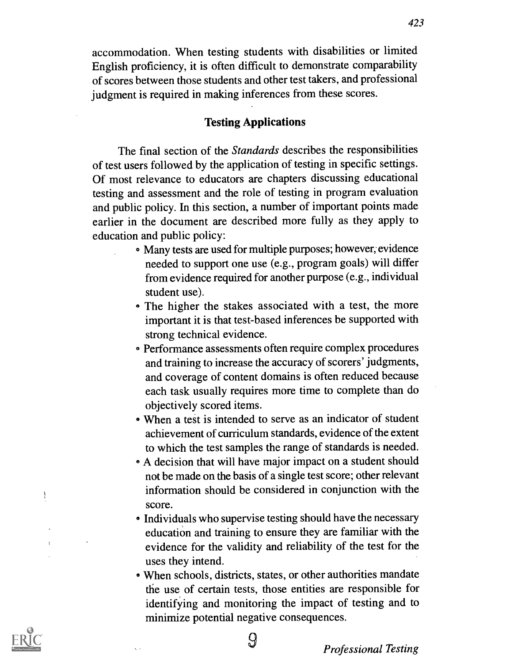accommodation. When testing students with disabilities or limited English proficiency, it is often difficult to demonstrate comparability of scores between those students and other test takers, and professional judgment is required in making inferences from these scores.

#### Testing Applications

The final section of the Standards describes the responsibilities of test users followed by the application of testing in specific settings. Of most relevance to educators are chapters discussing educational testing and assessment and the role of testing in program evaluation and public policy. In this section, a number of important points made earlier in the document are described more fully as they apply to education and public policy:

- Many tests are used for multiple purposes; however, evidence needed to support one use (e.g., program goals) will differ from evidence required for another purpose (e.g., individual student use).
- The higher the stakes associated with a test, the more important it is that test-based inferences be supported with strong technical evidence.
- <sup>o</sup> Performance assessments often require complex procedures and training to increase the accuracy of scorers' judgments, and coverage of content domains is often reduced because each task usually requires more time to complete than do objectively scored items.
- When a test is intended to serve as an indicator of student achievement of curriculum standards, evidence of the extent to which the test samples the range of standards is needed.
- A decision that will have major impact on a student should not be made on the basis of a single test score; other relevant information should be considered in conjunction with the score.
- Individuals who supervise testing should have the necessary education and training to ensure they are familiar with the evidence for the validity and reliability of the test for the uses they intend.
- When schools, districts, states, or other authorities mandate the use of certain tests, those entities are responsible for identifying and monitoring the impact of testing and to minimize potential negative consequences.



 $\frac{1}{2}$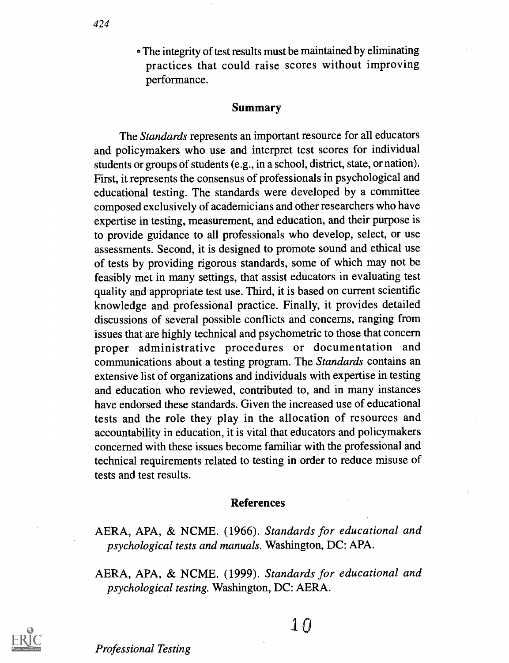The integrity of test results must be maintained by eliminating practices that could raise scores without improving performance.

#### Summary

The Standards represents an important resource for all educators and policymakers who use and interpret test scores for individual students or groups of students (e.g., in a school, district, state, or nation). First, it represents the consensus of professionals in psychological and educational testing. The standards were developed by a committee composed exclusively of academicians and other researchers who have expertise in testing, measurement, and education, and their purpose is to provide guidance to all professionals who develop, select, or use assessments. Second, it is designed to promote sound and ethical use of tests by providing rigorous standards, some of which may not be feasibly met in many settings, that assist educators in evaluating test quality and appropriate test use. Third, it is based on current scientific knowledge and professional practice. Finally, it provides detailed discussions of several possible conflicts and concerns, ranging from issues that are highly technical and psychometric to those that concern proper administrative procedures or documentation and communications about a testing program. The Standards contains an extensive list of organizations and individuals with expertise in testing and education who reviewed, contributed to, and in many instances have endorsed these standards. Given the increased use of educational tests and the role they play in the allocation of resources and accountability in education, it is vital that educators and policymakers concerned with these issues become familiar with the professional and technical requirements related to testing in order to reduce misuse of tests and test results.

#### References

AERA, APA, & NCME. (1966). Standards for educational and psychological tests and manuals. Washington, DC: APA.

AERA, APA, & NCME. (1999). Standards for educational and psychological testing. Washington, DC: AERA.



 $\overline{O}$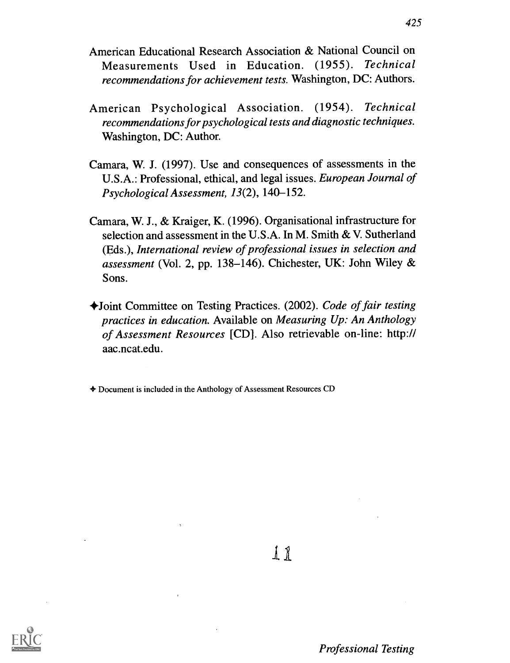- American Educational Research Association & National Council on Measurements Used in Education. (1955). Technical recommendations for achievement tests. Washington, DC: Authors.
- American Psychological Association. (1954). Technical recommendations for psychological tests and diagnostic techniques. Washington, DC: Author.
- Camara, W. J. (1997). Use and consequences of assessments in the U.S.A.: Professional, ethical, and legal issues. European Journal of Psychological Assessment, 13(2), 140-152.
- Camara, W. J., & Kraiger, K. (1996). Organisational infrastructure for selection and assessment in the U.S.A. In M. Smith & V. Sutherland (Eds.), International review of professional issues in selection and assessment (Vol. 2, pp. 138-146). Chichester, UK: John Wiley & Sons.
- +Joint Committee on Testing Practices. (2002). Code of fair testing practices in education. Available on Measuring Up: An Anthology of Assessment Resources [CD]. Also retrievable on-line: http:// aac.ncat.edu.

 $\triangle$  Document is included in the Anthology of Assessment Resources CD

425



ii